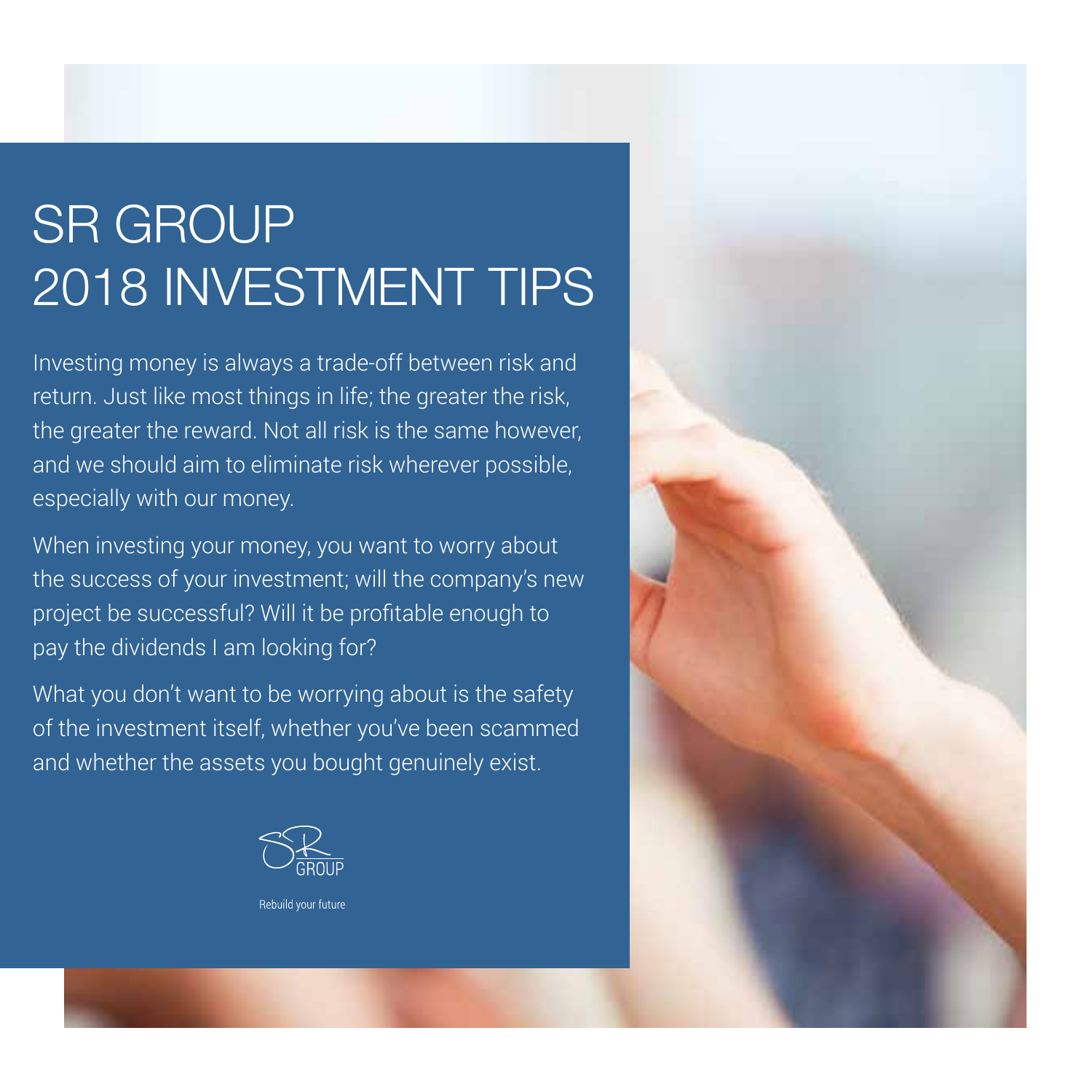# SR GROUP 2018 INVESTMENT TIPS

Investing money is always a trade-off between risk and return. Just like most things in life; the greater the risk, the greater the reward. Not all risk is the same however, and we should aim to eliminate risk wherever possible, especially with our money.

When investing your money, you want to worry about the success of your investment; will the company's new project be successful? Will it be profitable enough to pay the dividends I am looking for?

What you don't want to be worrying about is the safety of the investment itself, whether you've been scammed and whether the assets you bought genuinely exist.





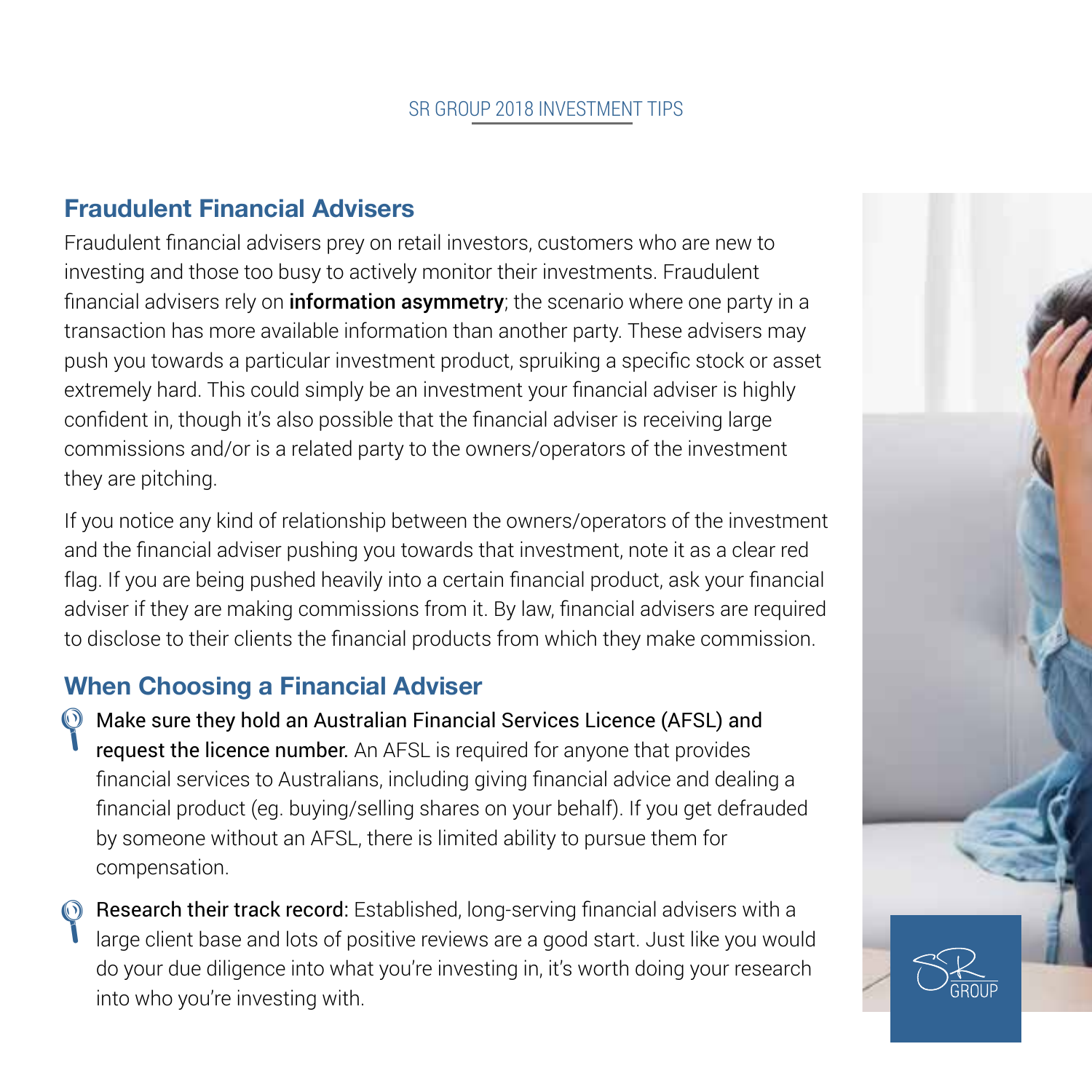# **Fraudulent Financial Advisers**

Fraudulent financial advisers prey on retail investors, customers who are new to investing and those too busy to actively monitor their investments. Fraudulent financial advisers rely on **information asymmetry**; the scenario where one party in a transaction has more available information than another party. These advisers may push you towards a particular investment product, spruiking a specific stock or asset extremely hard. This could simply be an investment your financial adviser is highly confident in, though it's also possible that the financial adviser is receiving large commissions and/or is a related party to the owners/operators of the investment they are pitching.

If you notice any kind of relationship between the owners/operators of the investment and the financial adviser pushing you towards that investment, note it as a clear red flag. If you are being pushed heavily into a certain financial product, ask your financial adviser if they are making commissions from it. By law, financial advisers are required to disclose to their clients the financial products from which they make commission.

# **When Choosing a Financial Adviser**

- ◯ Make sure they hold an Australian Financial Services Licence (AFSL) and<br>
request the licence number An AFSL is required for anyone that provides request the licence number. An AFSL is required for anyone that provides financial services to Australians, including giving financial advice and dealing a financial product (eg. buying/selling shares on your behalf). If you get defrauded by someone without an AFSL, there is limited ability to pursue them for compensation.
- **Exercise 1** Research their track record: Established, long-serving financial advisers with a large client base and lots of positive reviews are a good start. Just like you wou large client base and lots of positive reviews are a good start. Just like you would do your due diligence into what you're investing in, it's worth doing your research into who you're investing with.

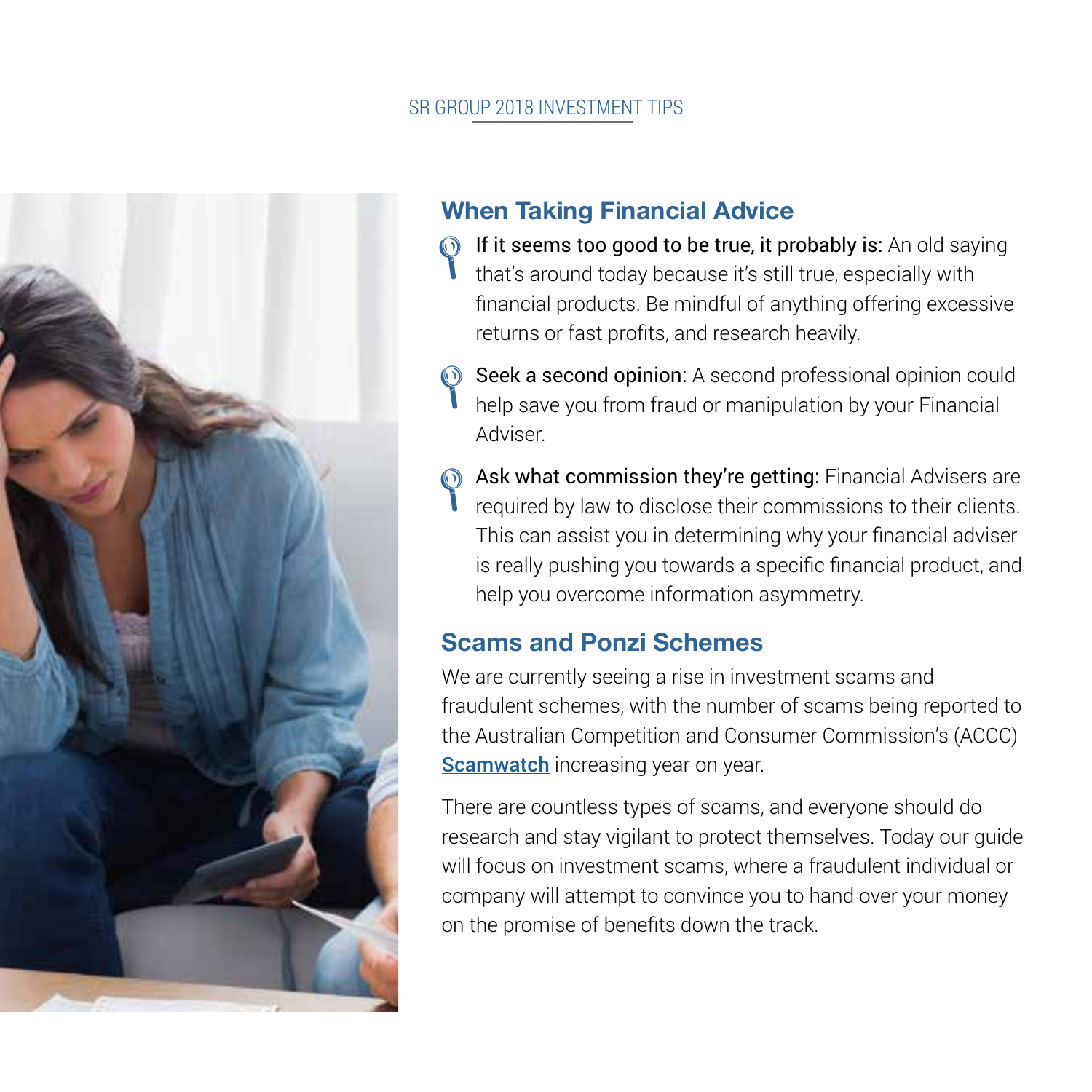#### SR GROUP 2018 INVESTMENT TIPS



# **When Taking Financial Advice**

- $\bigcirc$  If it seems too good to be true, it probably is: An old saying that's around today because it's still true, especially with that's around today because it's still true, especially with financial products. Be mindful of anything offering excessive returns or fast profits, and research heavily.
- Seek a second opinion: A second professional opinion could<br>
help save vou from fraud or manipulation by your Financial help save you from fraud or manipulation by your Financial Adviser.
- **Ask what commission they're getting**: Financial Advisers are required by law to disclose their commissions to their clients. required by law to disclose their commissions to their clients. This can assist you in determining why your financial adviser is really pushing you towards a specific financial product, and help you overcome information asymmetry.

# **Scams and Ponzi Schemes**

We are currently seeing a rise in investment scams and fraudulent schemes, with the number of scams being reported to the Australian Competition and Consumer Commission's (ACCC) Scamwatch increasing year on year.

There are countless types of scams, and everyone should do research and stay vigilant to protect themselves. Today our guide will focus on investment scams, where a fraudulent individual or company will attempt to convince you to hand over your money on the promise of benefits down the track.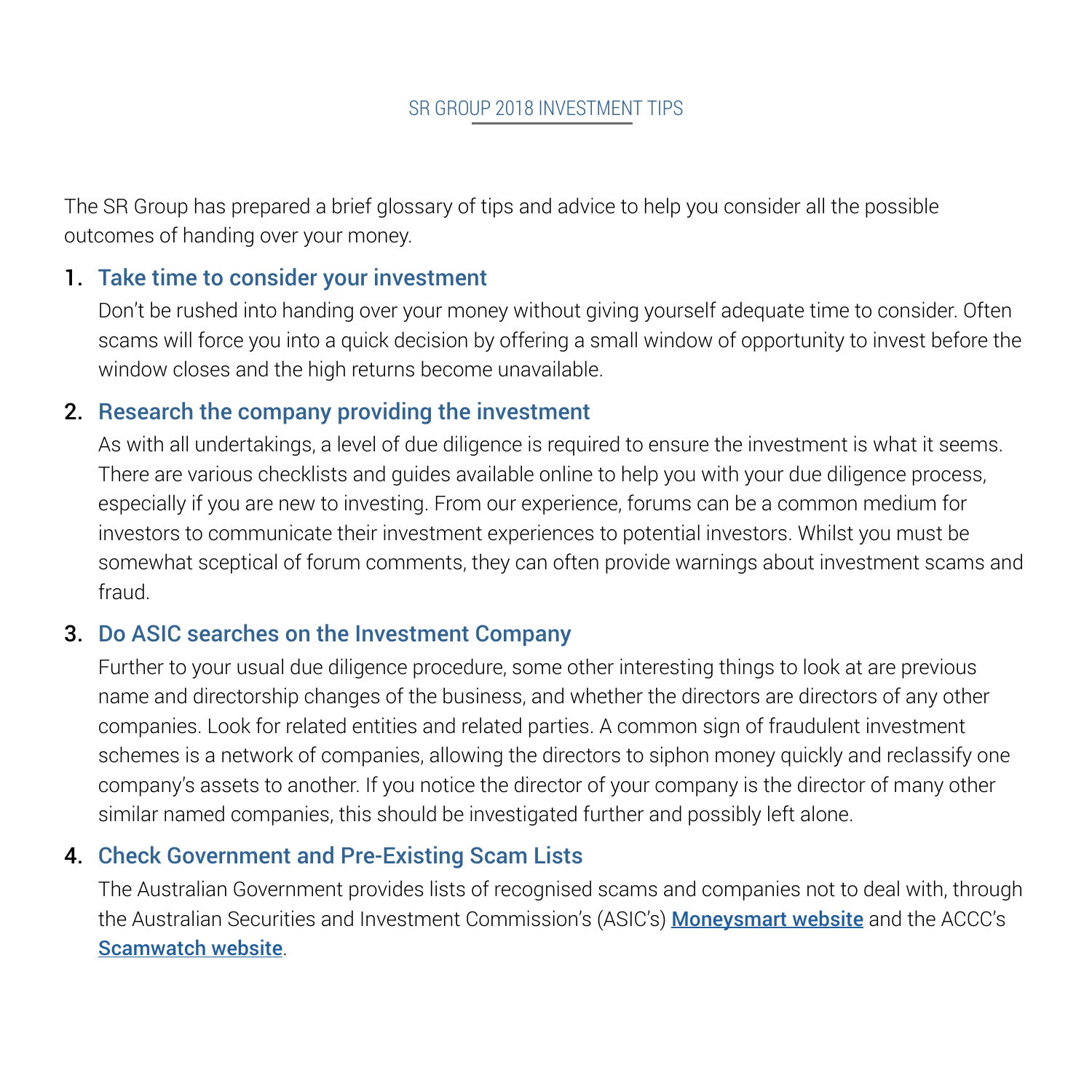The SR Group has prepared a brief glossary of tips and advice to help you consider all the possible outcomes of handing over your money.

#### 1. Take time to consider your investment

Don't be rushed into handing over your money without giving yourself adequate time to consider. Often scams will force you into a quick decision by offering a small window of opportunity to invest before the window closes and the high returns become unavailable.

#### 2. Research the company providing the investment

As with all undertakings, a level of due diligence is required to ensure the investment is what it seems. There are various checklists and guides available online to help you with your due diligence process, especially if you are new to investing. From our experience, forums can be a common medium for investors to communicate their investment experiences to potential investors. Whilst you must be somewhat sceptical of forum comments, they can often provide warnings about investment scams and fraud.

## 3. Do ASIC searches on the Investment Company

Further to your usual due diligence procedure, some other interesting things to look at are previous name and directorship changes of the business, and whether the directors are directors of any other companies. Look for related entities and related parties. A common sign of fraudulent investment schemes is a network of companies, allowing the directors to siphon money quickly and reclassify one company's assets to another. If you notice the director of your company is the director of many other similar named companies, this should be investigated further and possibly left alone.

## 4. Check Government and Pre-Existing Scam Lists

The Australian Government provides lists of recognised scams and companies not to deal with, through the Australian Securities and Investment Commission's (ASIC's) Moneysmart website and the ACCC's Scamwatch website.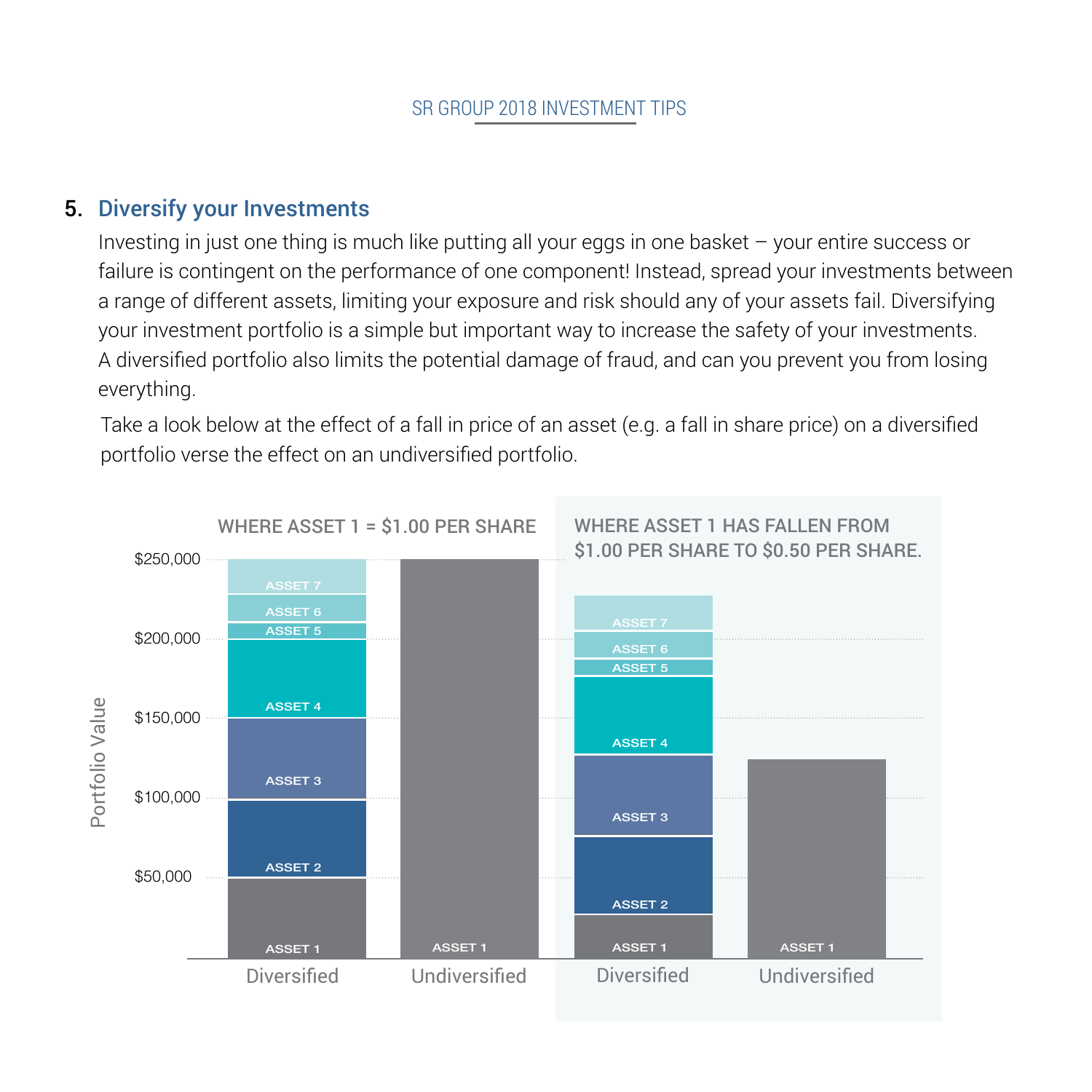## 5. Diversify your Investments

Investing in just one thing is much like putting all your eggs in one basket – your entire success or failure is contingent on the performance of one component! Instead, spread your investments between a range of different assets, limiting your exposure and risk should any of your assets fail. Diversifying your investment portfolio is a simple but important way to increase the safety of your investments. A diversified portfolio also limits the potential damage of fraud, and can you prevent you from losing everything.

Take a look below at the effect of a fall in price of an asset (e.g. a fall in share price) on a diversified portfolio verse the effect on an undiversified portfolio.

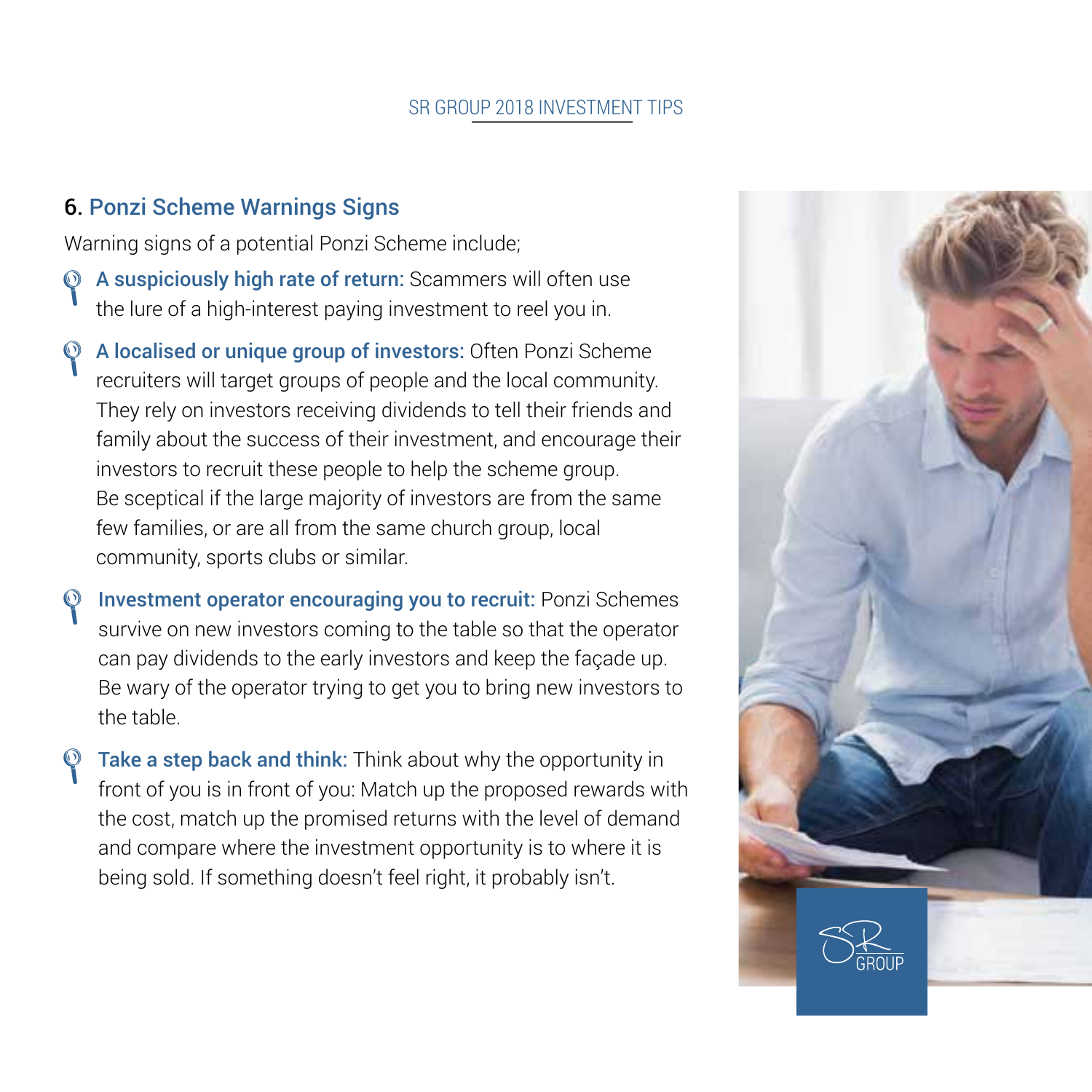#### SR GROUP 2018 INVESTMENT TIPS

#### 6. Ponzi Scheme Warnings Signs

Warning signs of a potential Ponzi Scheme include;

- A suspiciously high rate of return: Scammers will often use the lure of a high-interest paying investment to reel you in.  $\mathcal{P}$
- A localised or unique group of investors: Often Ponzi Scheme recruiters will target groups of people and the local community. They rely on investors receiving dividends to tell their friends and family about the success of their investment, and encourage their investors to recruit these people to help the scheme group. Be sceptical if the large majority of investors are from the same few families, or are all from the same church group, local community, sports clubs or similar.  $\odot$
- Investment operator encouraging you to recruit: Ponzi Schemes survive on new investors coming to the table so that the operator can pay dividends to the early investors and keep the façade up. Be wary of the operator trying to get you to bring new investors to the table.  $\mathcal{P}$
- Take a step back and think: Think about why the opportunity in front of you is in front of you: Match up the proposed rewards with the cost, match up the promised returns with the level of demand and compare where the investment opportunity is to where it is being sold. If something doesn't feel right, it probably isn't. L

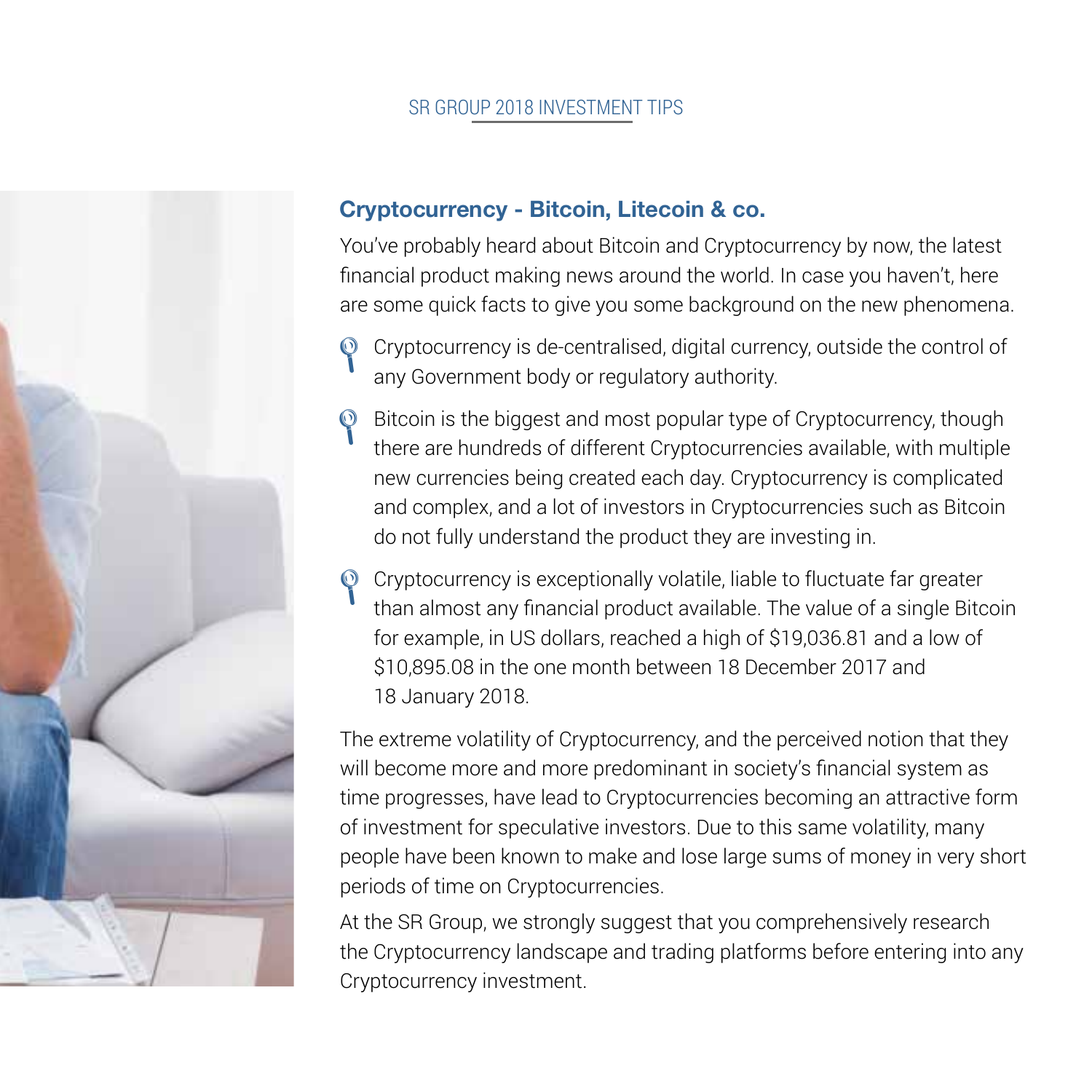#### SR GROUP 2018 INVESTMENT TIPS



## **Cryptocurrency - Bitcoin, Litecoin & co.**

You've probably heard about Bitcoin and Cryptocurrency by now, the latest financial product making news around the world. In case you haven't, here are some quick facts to give you some background on the new phenomena.

- Cryptocurrency is de-centralised, digital currency, outside the control of any Government body or regulatory authority.  $\mathcal{P}$
- P Bitcoin is the biggest and most popular type of Cryptocurrency, though there are bundreds of different Cryptocurrencies available with multiple there are hundreds of different Cryptocurrencies available, with multiple new currencies being created each day. Cryptocurrency is complicated and complex, and a lot of investors in Cryptocurrencies such as Bitcoin do not fully understand the product they are investing in.
- <sup>O</sup> Cryptocurrency is exceptionally volatile, liable to fluctuate far greater<br>
then elmost any financial product evailable. The value of a single Pita than almost any financial product available. The value of a single Bitcoin for example, in US dollars, reached a high of \$19,036.81 and a low of \$10,895.08 in the one month between 18 December 2017 and 18 January 2018.

The extreme volatility of Cryptocurrency, and the perceived notion that they will become more and more predominant in society's financial system as time progresses, have lead to Cryptocurrencies becoming an attractive form of investment for speculative investors. Due to this same volatility, many people have been known to make and lose large sums of money in very short periods of time on Cryptocurrencies.

At the SR Group, we strongly suggest that you comprehensively research the Cryptocurrency landscape and trading platforms before entering into any Cryptocurrency investment.